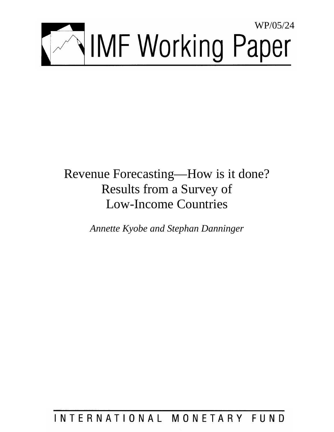

# Revenue Forecasting—How is it done? Results from a Survey of Low-Income Countries

*Annette Kyobe and Stephan Danninger* 

INTERNATIONAL MONETARY FUND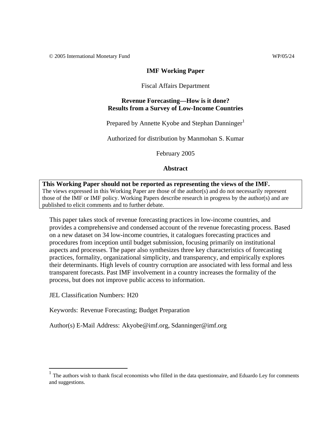© 2005 International Monetary Fund WP/05/24

#### **IMF Working Paper**

#### Fiscal Affairs Department

#### **Revenue Forecasting—How is it done? Results from a Survey of Low-Income Countries**

Prepared by Annette Kyobe and Stephan Danninger<sup>1</sup>

Authorized for distribution by Manmohan S. Kumar

February 2005

#### **Abstract**

#### **This Working Paper should not be reported as representing the views of the IMF.** The views expressed in this Working Paper are those of the author(s) and do not necessarily represent those of the IMF or IMF policy. Working Papers describe research in progress by the author(s) and are published to elicit comments and to further debate.

This paper takes stock of revenue forecasting practices in low-income countries, and provides a comprehensive and condensed account of the revenue forecasting process. Based on a new dataset on 34 low-income countries, it catalogues forecasting practices and procedures from inception until budget submission, focusing primarily on institutional aspects and processes. The paper also synthesizes three key characteristics of forecasting practices, formality, organizational simplicity, and transparency, and empirically explores their determinants. High levels of country corruption are associated with less formal and less transparent forecasts. Past IMF involvement in a country increases the formality of the process, but does not improve public access to information.

JEL Classification Numbers: H20

 $\overline{a}$ 

Keywords: Revenue Forecasting; Budget Preparation

Author(s) E-Mail Address: Akyobe@imf.org, Sdanninger@imf.org

The authors wish to thank fiscal economists who filled in the data questionnaire, and Eduardo Ley for comments and suggestions.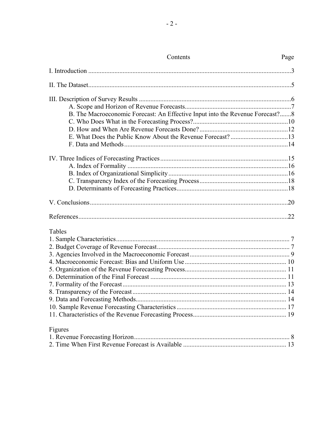| Contents                                                                      | Page |
|-------------------------------------------------------------------------------|------|
|                                                                               |      |
|                                                                               |      |
|                                                                               |      |
|                                                                               |      |
| B. The Macroeconomic Forecast: An Effective Input into the Revenue Forecast?8 |      |
|                                                                               |      |
|                                                                               |      |
|                                                                               |      |
|                                                                               |      |
|                                                                               |      |
|                                                                               |      |
|                                                                               |      |
|                                                                               |      |
|                                                                               |      |
|                                                                               |      |
|                                                                               |      |
|                                                                               |      |
| Tables                                                                        |      |
|                                                                               |      |
|                                                                               |      |
|                                                                               |      |
|                                                                               |      |
|                                                                               |      |
|                                                                               |      |
|                                                                               |      |
|                                                                               |      |
|                                                                               |      |
|                                                                               |      |
|                                                                               |      |
| Figures                                                                       |      |
|                                                                               |      |
|                                                                               |      |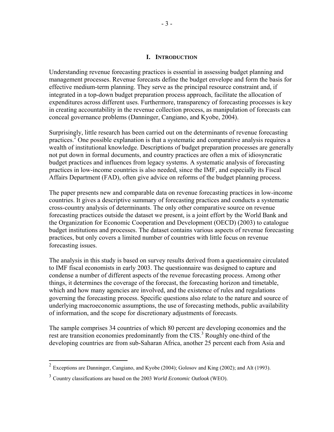#### **I. INTRODUCTION**

Understanding revenue forecasting practices is essential in assessing budget planning and management processes. Revenue forecasts define the budget envelope and form the basis for effective medium-term planning. They serve as the principal resource constraint and, if integrated in a top-down budget preparation process approach, facilitate the allocation of expenditures across different uses. Furthermore, transparency of forecasting processes is key in creating accountability in the revenue collection process, as manipulation of forecasts can conceal governance problems (Danninger, Cangiano, and Kyobe, 2004).

Surprisingly, little research has been carried out on the determinants of revenue forecasting practices.<sup>2</sup> One possible explanation is that a systematic and comparative analysis requires a wealth of institutional knowledge. Descriptions of budget preparation processes are generally not put down in formal documents, and country practices are often a mix of idiosyncratic budget practices and influences from legacy systems. A systematic analysis of forecasting practices in low-income countries is also needed, since the IMF, and especially its Fiscal Affairs Department (FAD), often give advice on reforms of the budget planning process.

The paper presents new and comparable data on revenue forecasting practices in low-income countries. It gives a descriptive summary of forecasting practices and conducts a systematic cross-country analysis of determinants. The only other comparative source on revenue forecasting practices outside the dataset we present, is a joint effort by the World Bank and the Organization for Economic Cooperation and Development (OECD) (2003) to catalogue budget institutions and processes. The dataset contains various aspects of revenue forecasting practices, but only covers a limited number of countries with little focus on revenue forecasting issues.

The analysis in this study is based on survey results derived from a questionnaire circulated to IMF fiscal economists in early 2003. The questionnaire was designed to capture and condense a number of different aspects of the revenue forecasting process. Among other things, it determines the coverage of the forecast, the forecasting horizon and timetable, which and how many agencies are involved, and the existence of rules and regulations governing the forecasting process. Specific questions also relate to the nature and source of underlying macroeconomic assumptions, the use of forecasting methods, public availability of information, and the scope for discretionary adjustments of forecasts.

The sample comprises 34 countries of which 80 percent are developing economies and the rest are transition economies predominantly from the CIS.<sup>3</sup> Roughly one-third of the developing countries are from sub-Saharan Africa, another 25 percent each from Asia and

 $\overline{a}$ 

<sup>2</sup> Exceptions are Danninger, Cangiano, and Kyobe (2004); Golosov and King (2002); and Alt (1993).

<sup>3</sup> Country classifications are based on the 2003 *World Economic Outlook* (WEO).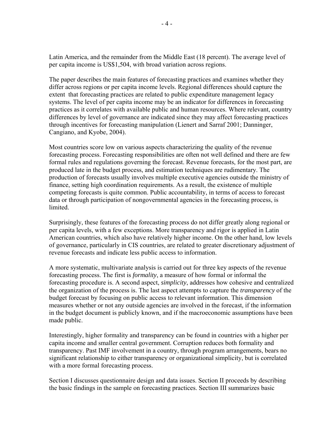Latin America, and the remainder from the Middle East (18 percent). The average level of per capita income is US\$1,504, with broad variation across regions.

The paper describes the main features of forecasting practices and examines whether they differ across regions or per capita income levels. Regional differences should capture the extent that forecasting practices are related to public expenditure management legacy systems. The level of per capita income may be an indicator for differences in forecasting practices as it correlates with available public and human resources. Where relevant, country differences by level of governance are indicated since they may affect forecasting practices through incentives for forecasting manipulation (Lienert and Sarraf 2001; Danninger, Cangiano, and Kyobe, 2004).

Most countries score low on various aspects characterizing the quality of the revenue forecasting process. Forecasting responsibilities are often not well defined and there are few formal rules and regulations governing the forecast. Revenue forecasts, for the most part, are produced late in the budget process, and estimation techniques are rudimentary. The production of forecasts usually involves multiple executive agencies outside the ministry of finance, setting high coordination requirements. As a result, the existence of multiple competing forecasts is quite common. Public accountability, in terms of access to forecast data or through participation of nongovernmental agencies in the forecasting process, is limited.

Surprisingly, these features of the forecasting process do not differ greatly along regional or per capita levels, with a few exceptions. More transparency and rigor is applied in Latin American countries, which also have relatively higher income. On the other hand, low levels of governance, particularly in CIS countries, are related to greater discretionary adjustment of revenue forecasts and indicate less public access to information.

A more systematic, multivariate analysis is carried out for three key aspects of the revenue forecasting process. The first is *formality*, a measure of how formal or informal the forecasting procedure is. A second aspect, *simplicity*, addresses how cohesive and centralized the organization of the process is. The last aspect attempts to capture the *transparency* of the budget forecast by focusing on public access to relevant information. This dimension measures whether or not any outside agencies are involved in the forecast, if the information in the budget document is publicly known, and if the macroeconomic assumptions have been made public.

Interestingly, higher formality and transparency can be found in countries with a higher per capita income and smaller central government. Corruption reduces both formality and transparency. Past IMF involvement in a country, through program arrangements, bears no significant relationship to either transparency or organizational simplicity, but is correlated with a more formal forecasting process.

Section I discusses questionnaire design and data issues. Section II proceeds by describing the basic findings in the sample on forecasting practices. Section III summarizes basic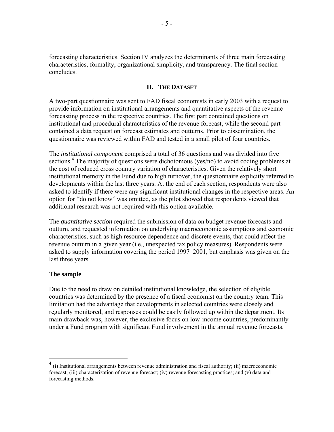forecasting characteristics. Section IV analyzes the determinants of three main forecasting characteristics, formality, organizational simplicity, and transparency. The final section concludes.

# **II. THE DATASET**

A two-part questionnaire was sent to FAD fiscal economists in early 2003 with a request to provide information on institutional arrangements and quantitative aspects of the revenue forecasting process in the respective countries. The first part contained questions on institutional and procedural characteristics of the revenue forecast, while the second part contained a data request on forecast estimates and outturns. Prior to dissemination, the questionnaire was reviewed within FAD and tested in a small pilot of four countries.

The *institutional component* comprised a total of 36 questions and was divided into five sections.<sup>4</sup> The majority of questions were dichotomous (yes/no) to avoid coding problems at the cost of reduced cross country variation of characteristics. Given the relatively short institutional memory in the Fund due to high turnover, the questionnaire explicitly referred to developments within the last three years. At the end of each section, respondents were also asked to identify if there were any significant institutional changes in the respective areas. An option for "do not know" was omitted, as the pilot showed that respondents viewed that additional research was not required with this option available.

The *quantitative section* required the submission of data on budget revenue forecasts and outturn, and requested information on underlying macroeconomic assumptions and economic characteristics, such as high resource dependence and discrete events, that could affect the revenue outturn in a given year (i.e., unexpected tax policy measures). Respondents were asked to supply information covering the period 1997–2001, but emphasis was given on the last three years.

#### **The sample**

 $\overline{a}$ 

Due to the need to draw on detailed institutional knowledge, the selection of eligible countries was determined by the presence of a fiscal economist on the country team. This limitation had the advantage that developments in selected countries were closely and regularly monitored, and responses could be easily followed up within the department. Its main drawback was, however, the exclusive focus on low-income countries, predominantly under a Fund program with significant Fund involvement in the annual revenue forecasts.

 $4$  (i) Institutional arrangements between revenue administration and fiscal authority; (ii) macroeconomic forecast; (iii) characterization of revenue forecast; (iv) revenue forecasting practices; and (v) data and forecasting methods.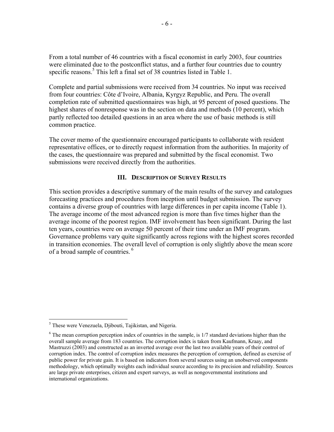From a total number of 46 countries with a fiscal economist in early 2003, four countries were eliminated due to the postconflict status, and a further four countries due to country specific reasons.<sup>5</sup> This left a final set of 38 countries listed in Table 1.

Complete and partial submissions were received from 34 countries. No input was received from four countries: Côte d'Ivoire, Albania, Kyrgyz Republic, and Peru. The overall completion rate of submitted questionnaires was high, at 95 percent of posed questions. The highest shares of nonresponse was in the section on data and methods (10 percent), which partly reflected too detailed questions in an area where the use of basic methods is still common practice.

The cover memo of the questionnaire encouraged participants to collaborate with resident representative offices, or to directly request information from the authorities. In majority of the cases, the questionnaire was prepared and submitted by the fiscal economist. Two submissions were received directly from the authorities.

# **III. DESCRIPTION OF SURVEY RESULTS**

This section provides a descriptive summary of the main results of the survey and catalogues forecasting practices and procedures from inception until budget submission. The survey contains a diverse group of countries with large differences in per capita income (Table 1). The average income of the most advanced region is more than five times higher than the average income of the poorest region. IMF involvement has been significant. During the last ten years, countries were on average 50 percent of their time under an IMF program. Governance problems vary quite significantly across regions with the highest scores recorded in transition economies. The overall level of corruption is only slightly above the mean score of a broad sample of countries.<sup>6</sup>

 5 These were Venezuela, Djibouti, Tajikistan, and Nigeria.

<sup>&</sup>lt;sup>6</sup> The mean corruption perception index of countries in the sample, is 1/7 standard deviations higher than the overall sample average from 183 countries. The corruption index is taken from Kaufmann, Kraay, and Mastruzzi (2003) and constructed as an inverted average over the last two available years of their control of corruption index. The control of corruption index measures the perception of corruption, defined as exercise of public power for private gain. It is based on indicators from several sources using an unobserved components methodology, which optimally weights each individual source according to its precision and reliability. Sources are large private enterprises, citizen and expert surveys, as well as nongovernmental institutions and international organizations.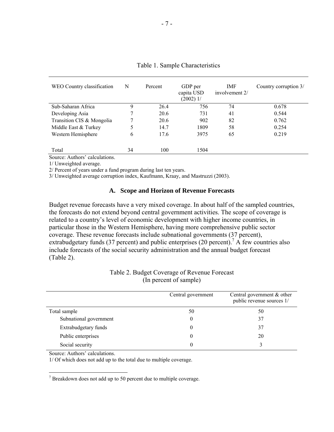| WEO Country classification | N  | Percent | GDP per<br>capita USD<br>$(2002)$ 1/ | <b>IMF</b><br>involvement 2/ | Country corruption 3/ |
|----------------------------|----|---------|--------------------------------------|------------------------------|-----------------------|
| Sub-Saharan Africa         | 9  | 26.4    | 756                                  | 74                           | 0.678                 |
| Developing Asia            |    | 20.6    | 731                                  | 41                           | 0.544                 |
| Transition CIS & Mongolia  |    | 20.6    | 902                                  | 82                           | 0.762                 |
| Middle East & Turkey       | 5  | 14.7    | 1809                                 | 58                           | 0.254                 |
| Western Hemisphere         | 6  | 17.6    | 3975                                 | 65                           | 0.219                 |
|                            |    |         |                                      |                              |                       |
| Total                      | 34 | 100     | 1504                                 |                              |                       |

Table 1. Sample Characteristics

Source: Authors' calculations.

1/ Unweighted average.

2/ Percent of years under a fund program during last ten years.

3/ Unweighted average corruption index, Kaufmann, Kraay, and Mastruzzi (2003).

#### **A. Scope and Horizon of Revenue Forecasts**

Budget revenue forecasts have a very mixed coverage. In about half of the sampled countries, the forecasts do not extend beyond central government activities. The scope of coverage is related to a country's level of economic development with higher income countries, in particular those in the Western Hemisphere, having more comprehensive public sector coverage. These revenue forecasts include subnational governments (37 percent), extrabudgetary funds (37 percent) and public enterprises (20 percent).<sup>7</sup> A few countries also include forecasts of the social security administration and the annual budget forecast (Table 2).

|                        | Central government | Central government & other<br>public revenue sources 1/ |
|------------------------|--------------------|---------------------------------------------------------|
| Total sample           | 50                 | 50                                                      |
| Subnational government |                    | 37                                                      |
| Extrabudgetary funds   |                    | 37                                                      |
| Public enterprises     |                    | 20                                                      |
| Social security        |                    |                                                         |

#### Table 2. Budget Coverage of Revenue Forecast (In percent of sample)

Source: Authors' calculations.

1/ Of which does not add up to the total due to multiple coverage.

7 Breakdown does not add up to 50 percent due to multiple coverage.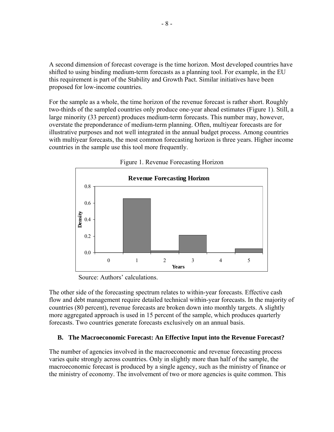A second dimension of forecast coverage is the time horizon. Most developed countries have shifted to using binding medium-term forecasts as a planning tool. For example, in the EU this requirement is part of the Stability and Growth Pact. Similar initiatives have been proposed for low-income countries.

For the sample as a whole, the time horizon of the revenue forecast is rather short. Roughly two-thirds of the sampled countries only produce one-year ahead estimates (Figure 1). Still, a large minority (33 percent) produces medium-term forecasts. This number may, however, overstate the preponderance of medium-term planning. Often, multiyear forecasts are for illustrative purposes and not well integrated in the annual budget process. Among countries with multiyear forecasts, the most common forecasting horizon is three years. Higher income countries in the sample use this tool more frequently.





Source: Authors' calculations.

The other side of the forecasting spectrum relates to within-year forecasts. Effective cash flow and debt management require detailed technical within-year forecasts. In the majority of countries (80 percent), revenue forecasts are broken down into monthly targets. A slightly more aggregated approach is used in 15 percent of the sample, which produces quarterly forecasts. Two countries generate forecasts exclusively on an annual basis.

# **B. The Macroeconomic Forecast: An Effective Input into the Revenue Forecast?**

The number of agencies involved in the macroeconomic and revenue forecasting process varies quite strongly across countries. Only in slightly more than half of the sample, the macroeconomic forecast is produced by a single agency, such as the ministry of finance or the ministry of economy. The involvement of two or more agencies is quite common. This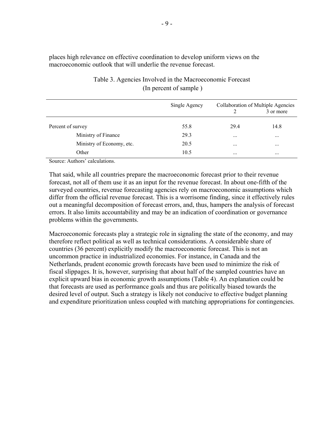places high relevance on effective coordination to develop uniform views on the macroeconomic outlook that will underlie the revenue forecast.

|                           | Single Agency |          | Collaboration of Multiple Agencies<br>3 or more |
|---------------------------|---------------|----------|-------------------------------------------------|
| Percent of survey         | 55.8          | 29.4     | 14.8                                            |
| Ministry of Finance       | 29.3          | $\cdots$ | $\cdots$                                        |
| Ministry of Economy, etc. | 20.5          | $\cdots$ | $\cdots$                                        |
| Other                     | 10.5          | $\cdots$ | $\cdots$                                        |

# Table 3. Agencies Involved in the Macroeconomic Forecast (In percent of sample )

Source: Authors' calculations.

That said, while all countries prepare the macroeconomic forecast prior to their revenue forecast, not all of them use it as an input for the revenue forecast. In about one-fifth of the surveyed countries, revenue forecasting agencies rely on macroeconomic assumptions which differ from the official revenue forecast. This is a worrisome finding, since it effectively rules out a meaningful decomposition of forecast errors, and, thus, hampers the analysis of forecast errors. It also limits accountability and may be an indication of coordination or governance problems within the governments.

Macroeconomic forecasts play a strategic role in signaling the state of the economy, and may therefore reflect political as well as technical considerations. A considerable share of countries (36 percent) explicitly modify the macroeconomic forecast. This is not an uncommon practice in industrialized economies. For instance, in Canada and the Netherlands, prudent economic growth forecasts have been used to minimize the risk of fiscal slippages. It is, however, surprising that about half of the sampled countries have an explicit upward bias in economic growth assumptions (Table 4). An explanation could be that forecasts are used as performance goals and thus are politically biased towards the desired level of output. Such a strategy is likely not conducive to effective budget planning and expenditure prioritization unless coupled with matching appropriations for contingencies.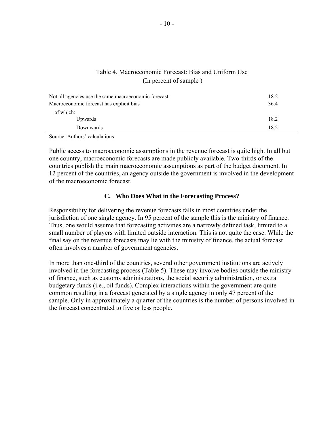# Table 4. Macroeconomic Forecast: Bias and Uniform Use (In percent of sample )

| Not all agencies use the same macroeconomic forecast | 18.2 |
|------------------------------------------------------|------|
| Macroeconomic forecast has explicit bias             | 36.4 |
| of which:                                            |      |
| Upwards                                              | 18.2 |
| Downwards                                            | 18.2 |

Source: Authors' calculations.

Public access to macroeconomic assumptions in the revenue forecast is quite high. In all but one country, macroeconomic forecasts are made publicly available. Two-thirds of the countries publish the main macroeconomic assumptions as part of the budget document. In 12 percent of the countries, an agency outside the government is involved in the development of the macroeconomic forecast.

#### **C. Who Does What in the Forecasting Process?**

Responsibility for delivering the revenue forecasts falls in most countries under the jurisdiction of one single agency. In 95 percent of the sample this is the ministry of finance. Thus, one would assume that forecasting activities are a narrowly defined task, limited to a small number of players with limited outside interaction. This is not quite the case. While the final say on the revenue forecasts may lie with the ministry of finance, the actual forecast often involves a number of government agencies.

In more than one-third of the countries, several other government institutions are actively involved in the forecasting process (Table 5). These may involve bodies outside the ministry of finance, such as customs administrations, the social security administration, or extra budgetary funds (i.e., oil funds). Complex interactions within the government are quite common resulting in a forecast generated by a single agency in only 47 percent of the sample. Only in approximately a quarter of the countries is the number of persons involved in the forecast concentrated to five or less people.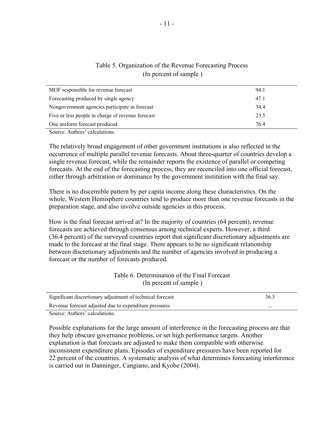| MOF responsible for revenue forecast              | 94.1 |
|---------------------------------------------------|------|
| Forecasting produced by single agency             | 47.1 |
| Nongovernment agencies participate in forecast    | 34.4 |
| Five or less people in charge of revenue forecast | 23.5 |
| One uniform forecast produced                     | 76.4 |
|                                                   |      |

# Table 5. Organization of the Revenue Forecasting Process (In percent of sample )

Source: Authors' calculations.

The relatively broad engagement of other government institutions is also reflected in the occurrence of multiple parallel revenue forecasts. About three-quarter of countries develop a single revenue forecast, while the remainder reports the existence of parallel or competing forecasts. At the end of the forecasting process, they are reconciled into one official forecast, either through arbitration or dominance by the government institution with the final say.

There is no discernible pattern by per capita income along these characteristics. On the whole, Western Hemisphere countries tend to produce more than one revenue forecasts in the preparation stage, and also involve outside agencies in this process.

How is the final forecast arrived at? In the majority of countries (64 percent), revenue forecasts are achieved through consensus among technical experts. However, a third (36.4 percent) of the surveyed countries report that significant discretionary adjustments are made to the forecast at the final stage. There appears to be no significant relationship between discretionary adjustments and the number of agencies involved in producing a forecast or the number of forecasts produced.

#### Table 6. Determination of the Final Forecast (In percent of sample )

| Significant discretionary adjustment of technical forecast | 36.3     |
|------------------------------------------------------------|----------|
| Revenue forecast adjusted due to expenditure pressures     | $\cdots$ |

Source: Authors' calculations.

Possible explanations for the large amount of interference in the forecasting process are that they help obscure governance problems, or set high performance targets. Another explanation is that forecasts are adjusted to make them compatible with otherwise inconsistent expenditure plans. Episodes of expenditure pressures have been reported for 22 percent of the countries. A systematic analysis of what determines forecasting interference is carried out in Danninger, Cangiano, and Kyobe (2004).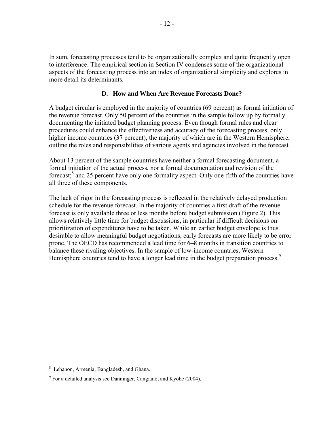In sum, forecasting processes tend to be organizationally complex and quite frequently open to interference. The empirical section in Section IV condenses some of the organizational aspects of the forecasting process into an index of organizational simplicity and explores in more detail its determinants.

#### **D. How and When Are Revenue Forecasts Done?**

A budget circular is employed in the majority of countries (69 percent) as formal initiation of the revenue forecast. Only 50 percent of the countries in the sample follow up by formally documenting the initiated budget planning process. Even though formal rules and clear procedures could enhance the effectiveness and accuracy of the forecasting process, only higher income countries (37 percent), the majority of which are in the Western Hemisphere, outline the roles and responsibilities of various agents and agencies involved in the forecast.

About 13 percent of the sample countries have neither a formal forecasting document, a formal initiation of the actual process, nor a formal documentation and revision of the forecast;<sup>8</sup> and 25 percent have only one formality aspect. Only one-fifth of the countries have all three of these components.

The lack of rigor in the forecasting process is reflected in the relatively delayed production schedule for the revenue forecast. In the majority of countries a first draft of the revenue forecast is only available three or less months before budget submission (Figure 2). This allows relatively little time for budget discussions, in particular if difficult decisions on prioritization of expenditures have to be taken. While an earlier budget envelope is thus desirable to allow meaningful budget negotiations, early forecasts are more likely to be error prone. The OECD has recommended a lead time for 6–8 months in transition countries to balance these rivaling objectives. In the sample of low-income countries, Western Hemisphere countries tend to have a longer lead time in the budget preparation process.<sup>9</sup>

 $\overline{a}$ 

<sup>8</sup> Lebanon, Armenia, Bangladesh, and Ghana.

 $9^9$  For a detailed analysis see Danninger, Cangiano, and Kyobe (2004).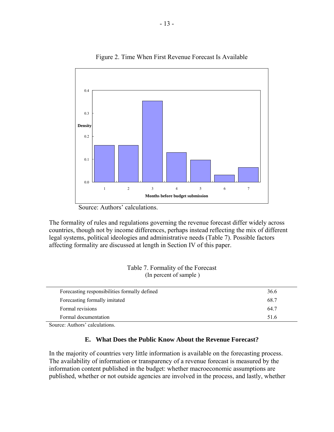

Figure 2. Time When First Revenue Forecast Is Available

Source: Authors' calculations.

The formality of rules and regulations governing the revenue forecast differ widely across countries, though not by income differences, perhaps instead reflecting the mix of different legal systems, political ideologies and administrative needs (Table 7). Possible factors affecting formality are discussed at length in Section IV of this paper.

| Table 7. Formality of the Forecast |
|------------------------------------|
| (In percent of sample)             |

| Forecasting responsibilities formally defined | 36.6 |
|-----------------------------------------------|------|
| Forecasting formally imitated                 | 68.7 |
| Formal revisions                              | 64.7 |
| Formal documentation                          | 516  |
|                                               |      |

Source: Authors' calculations.

#### **E. What Does the Public Know About the Revenue Forecast?**

In the majority of countries very little information is available on the forecasting process. The availability of information or transparency of a revenue forecast is measured by the information content published in the budget: whether macroeconomic assumptions are published, whether or not outside agencies are involved in the process, and lastly, whether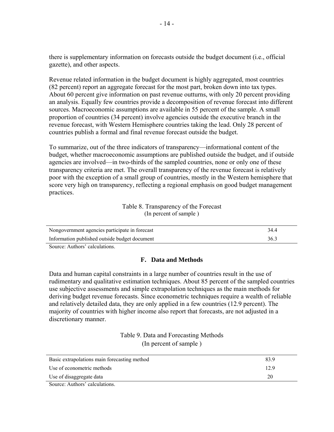there is supplementary information on forecasts outside the budget document (i.e., official gazette), and other aspects.

Revenue related information in the budget document is highly aggregated, most countries (82 percent) report an aggregate forecast for the most part, broken down into tax types. About 60 percent give information on past revenue outturns, with only 20 percent providing an analysis. Equally few countries provide a decomposition of revenue forecast into different sources. Macroeconomic assumptions are available in 55 percent of the sample. A small proportion of countries (34 percent) involve agencies outside the executive branch in the revenue forecast, with Western Hemisphere countries taking the lead. Only 28 percent of countries publish a formal and final revenue forecast outside the budget.

To summarize, out of the three indicators of transparency—informational content of the budget, whether macroeconomic assumptions are published outside the budget, and if outside agencies are involved—in two-thirds of the sampled countries, none or only one of these transparency criteria are met. The overall transparency of the revenue forecast is relatively poor with the exception of a small group of countries, mostly in the Western hemisphere that score very high on transparency, reflecting a regional emphasis on good budget management practices.

> Table 8. Transparency of the Forecast (In percent of sample )

| Nongovernment agencies participate in forecast | 344  |
|------------------------------------------------|------|
| Information published outside budget document  | 36.3 |
| $\sim$                                         |      |

Source: Authors' calculations.

#### **F. Data and Methods**

Data and human capital constraints in a large number of countries result in the use of rudimentary and qualitative estimation techniques. About 85 percent of the sampled countries use subjective assessments and simple extrapolation techniques as the main methods for deriving budget revenue forecasts. Since econometric techniques require a wealth of reliable and relatively detailed data, they are only applied in a few countries (12.9 percent). The majority of countries with higher income also report that forecasts, are not adjusted in a discretionary manner.

> Table 9. Data and Forecasting Methods (In percent of sample )

| Basic extrapolations main forecasting method | 83.9 |
|----------------------------------------------|------|
| Use of econometric methods                   | 12.9 |
| Use of disaggregate data                     | 20   |
|                                              |      |

Source: Authors' calculations.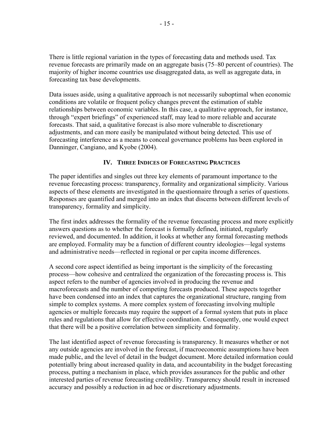There is little regional variation in the types of forecasting data and methods used. Tax revenue forecasts are primarily made on an aggregate basis (75–80 percent of countries). The majority of higher income countries use disaggregated data, as well as aggregate data, in forecasting tax base developments.

Data issues aside, using a qualitative approach is not necessarily suboptimal when economic conditions are volatile or frequent policy changes prevent the estimation of stable relationships between economic variables. In this case, a qualitative approach, for instance, through "expert briefings" of experienced staff, may lead to more reliable and accurate forecasts. That said, a qualitative forecast is also more vulnerable to discretionary adjustments, and can more easily be manipulated without being detected. This use of forecasting interference as a means to conceal governance problems has been explored in Danninger, Cangiano, and Kyobe (2004).

# **IV. THREE INDICES OF FORECASTING PRACTICES**

The paper identifies and singles out three key elements of paramount importance to the revenue forecasting process: transparency, formality and organizational simplicity. Various aspects of these elements are investigated in the questionnaire through a series of questions. Responses are quantified and merged into an index that discerns between different levels of transparency, formality and simplicity.

The first index addresses the formality of the revenue forecasting process and more explicitly answers questions as to whether the forecast is formally defined, initiated, regularly reviewed, and documented. In addition, it looks at whether any formal forecasting methods are employed. Formality may be a function of different country ideologies—legal systems and administrative needs—reflected in regional or per capita income differences.

A second core aspect identified as being important is the simplicity of the forecasting process—how cohesive and centralized the organization of the forecasting process is. This aspect refers to the number of agencies involved in producing the revenue and macroforecasts and the number of competing forecasts produced. These aspects together have been condensed into an index that captures the organizational structure, ranging from simple to complex systems. A more complex system of forecasting involving multiple agencies or multiple forecasts may require the support of a formal system that puts in place rules and regulations that allow for effective coordination. Consequently, one would expect that there will be a positive correlation between simplicity and formality.

The last identified aspect of revenue forecasting is transparency. It measures whether or not any outside agencies are involved in the forecast, if macroeconomic assumptions have been made public, and the level of detail in the budget document. More detailed information could potentially bring about increased quality in data, and accountability in the budget forecasting process, putting a mechanism in place, which provides assurances for the public and other interested parties of revenue forecasting credibility. Transparency should result in increased accuracy and possibly a reduction in ad hoc or discretionary adjustments.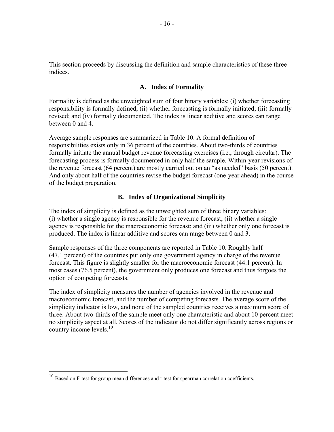This section proceeds by discussing the definition and sample characteristics of these three indices.

#### **A. Index of Formality**

Formality is defined as the unweighted sum of four binary variables: (i) whether forecasting responsibility is formally defined; (ii) whether forecasting is formally initiated; (iii) formally revised; and (iv) formally documented. The index is linear additive and scores can range between 0 and 4.

Average sample responses are summarized in Table 10. A formal definition of responsibilities exists only in 36 percent of the countries. About two-thirds of countries formally initiate the annual budget revenue forecasting exercises (i.e., through circular). The forecasting process is formally documented in only half the sample. Within-year revisions of the revenue forecast (64 percent) are mostly carried out on an "as needed" basis (50 percent). And only about half of the countries revise the budget forecast (one-year ahead) in the course of the budget preparation.

# **B. Index of Organizational Simplicity**

The index of simplicity is defined as the unweighted sum of three binary variables: (i) whether a single agency is responsible for the revenue forecast; (ii) whether a single agency is responsible for the macroeconomic forecast; and (iii) whether only one forecast is produced. The index is linear additive and scores can range between 0 and 3.

Sample responses of the three components are reported in Table 10. Roughly half (47.1 percent) of the countries put only one government agency in charge of the revenue forecast. This figure is slightly smaller for the macroeconomic forecast (44.1 percent). In most cases (76.5 percent), the government only produces one forecast and thus forgoes the option of competing forecasts.

The index of simplicity measures the number of agencies involved in the revenue and macroeconomic forecast, and the number of competing forecasts. The average score of the simplicity indicator is low, and none of the sampled countries receives a maximum score of three. About two-thirds of the sample meet only one characteristic and about 10 percent meet no simplicity aspect at all. Scores of the indicator do not differ significantly across regions or country income levels. $10<sup>10</sup>$ 

 $\overline{a}$ 

 $10$  Based on F-test for group mean differences and t-test for spearman correlation coefficients.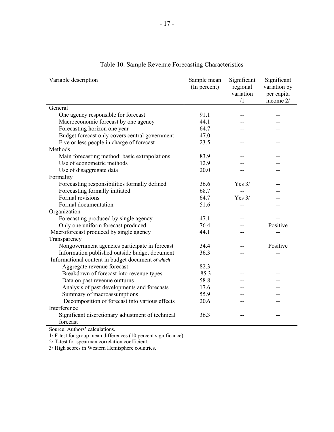| Variable description                              | Sample mean<br>(In percent) | Significant<br>regional<br>variation | Significant<br>variation by<br>per capita |
|---------------------------------------------------|-----------------------------|--------------------------------------|-------------------------------------------|
|                                                   |                             | /1                                   | income 2/                                 |
| General                                           |                             |                                      |                                           |
| One agency responsible for forecast               | 91.1                        |                                      |                                           |
| Macroeconomic forecast by one agency              | 44.1                        |                                      |                                           |
| Forecasting horizon one year                      | 64.7                        |                                      |                                           |
| Budget forecast only covers central government    | 47.0                        |                                      |                                           |
| Five or less people in charge of forecast         | 23.5                        |                                      |                                           |
| Methods                                           |                             |                                      |                                           |
| Main forecasting method: basic extrapolations     | 83.9                        |                                      |                                           |
| Use of econometric methods                        | 12.9                        |                                      |                                           |
| Use of disaggregate data                          | 20.0                        |                                      |                                           |
| Formality                                         |                             |                                      |                                           |
| Forecasting responsibilities formally defined     | 36.6                        | Yes $3/$                             |                                           |
| Forecasting formally initiated                    | 68.7                        |                                      |                                           |
| Formal revisions                                  | 64.7                        | Yes $3/$                             |                                           |
| Formal documentation                              | 51.6                        |                                      |                                           |
| Organization                                      |                             |                                      |                                           |
| Forecasting produced by single agency             | 47.1                        |                                      |                                           |
| Only one uniform forecast produced                | 76.4                        |                                      | Positive                                  |
| Macroforecast produced by single agency           | 44.1                        |                                      |                                           |
| Transparency                                      |                             |                                      |                                           |
| Nongovernment agencies participate in forecast    | 34.4                        |                                      | Positive                                  |
| Information published outside budget document     | 36.3                        |                                      |                                           |
| Informational content in budget document of which |                             |                                      |                                           |
| Aggregate revenue forecast                        | 82.3                        |                                      |                                           |
| Breakdown of forecast into revenue types          | 85.3                        |                                      |                                           |
| Data on past revenue outturns                     | 58.8                        |                                      |                                           |
| Analysis of past developments and forecasts       | 17.6                        |                                      |                                           |
| Summary of macroassumptions                       | 55.9                        |                                      |                                           |
| Decomposition of forecast into various effects    | 20.6                        |                                      |                                           |
| Interference                                      |                             |                                      |                                           |
| Significant discretionary adjustment of technical | 36.3                        | --                                   |                                           |
| forecast                                          |                             |                                      |                                           |

Table 10. Sample Revenue Forecasting Characteristics

Source: Authors' calculations.

1/ F-test for group mean differences (10 percent significance).

2/ T-test for spearman correlation coefficient.

3/ High scores in Western Hemisphere countries.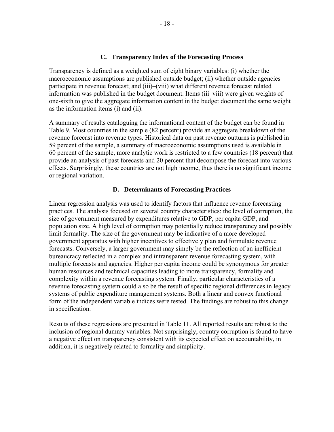#### **C. Transparency Index of the Forecasting Process**

Transparency is defined as a weighted sum of eight binary variables: (i) whether the macroeconomic assumptions are published outside budget; (ii) whether outside agencies participate in revenue forecast; and (iii)–(viii) what different revenue forecast related information was published in the budget document. Items (iii–viii) were given weights of one-sixth to give the aggregate information content in the budget document the same weight as the information items (i) and (ii).

A summary of results cataloguing the informational content of the budget can be found in Table 9. Most countries in the sample (82 percent) provide an aggregate breakdown of the revenue forecast into revenue types. Historical data on past revenue outturns is published in 59 percent of the sample, a summary of macroeconomic assumptions used is available in 60 percent of the sample, more analytic work is restricted to a few countries (18 percent) that provide an analysis of past forecasts and 20 percent that decompose the forecast into various effects. Surprisingly, these countries are not high income, thus there is no significant income or regional variation.

#### **D. Determinants of Forecasting Practices**

Linear regression analysis was used to identify factors that influence revenue forecasting practices. The analysis focused on several country characteristics: the level of corruption, the size of government measured by expenditures relative to GDP, per capita GDP, and population size. A high level of corruption may potentially reduce transparency and possibly limit formality. The size of the government may be indicative of a more developed government apparatus with higher incentives to effectively plan and formulate revenue forecasts. Conversely, a larger government may simply be the reflection of an inefficient bureaucracy reflected in a complex and intransparent revenue forecasting system, with multiple forecasts and agencies. Higher per capita income could be synonymous for greater human resources and technical capacities leading to more transparency, formality and complexity within a revenue forecasting system. Finally, particular characteristics of a revenue forecasting system could also be the result of specific regional differences in legacy systems of public expenditure management systems. Both a linear and convex functional form of the independent variable indices were tested. The findings are robust to this change in specification.

Results of these regressions are presented in Table 11. All reported results are robust to the inclusion of regional dummy variables. Not surprisingly, country corruption is found to have a negative effect on transparency consistent with its expected effect on accountability, in addition, it is negatively related to formality and simplicity.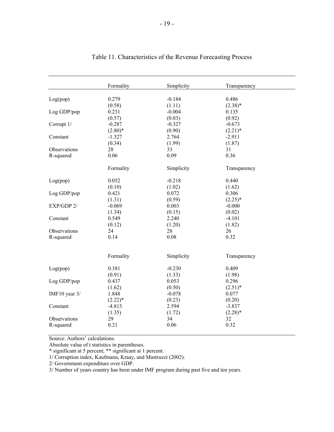|                          | Formality  | Simplicity | Transparency |  |
|--------------------------|------------|------------|--------------|--|
|                          |            |            |              |  |
| Log(pop)                 | 0.279      | $-0.184$   | 0.486        |  |
|                          | (0.58)     | (1.11)     | $(2.38)*$    |  |
| Log GDP/pop              | 0.231      | $-0.004$   | 0.135        |  |
|                          | (0.57)     | (0.03)     | (0.92)       |  |
| Corrupt 1/               | $-0.287$   | $-0.327$   | $-0.673$     |  |
|                          | $(2.80)^*$ | (0.90)     | $(2.21)^*$   |  |
| Constant                 | $-1.327$   | 2.764      | $-2.911$     |  |
|                          | (0.34)     | (1.99)     | (1.87)       |  |
| Observations             | 28         | 33         | 31           |  |
| R-squared                | 0.06       | 0.09       | 0.36         |  |
|                          | Formality  | Simplicity | Transparency |  |
| Log(pop)                 | 0.052      | $-0.218$   | 0.440        |  |
|                          | (0.10)     | (1.02)     | (1.62)       |  |
| Log GDP/pop              | 0.421      | 0.072      | 0.306        |  |
|                          | (1.31)     | (0.59)     | $(2.25)^*$   |  |
| EXP/GDP 2/               | $-0.069$   | 0.003      | $-0.000$     |  |
|                          | (1.34)     | (0.15)     | (0.02)       |  |
| Constant                 | 0.549      | 2.240      | $-4.101$     |  |
|                          | (0.12)     | (1.20)     | (1.82)       |  |
| Observations             | 24         | 28         | 26           |  |
| R-squared                | 0.14       | $0.08\,$   | 0.32         |  |
|                          |            |            |              |  |
|                          | Formality  | Simplicity | Transparency |  |
| Log(pop)                 | 0.381      | $-0.230$   | 0.409        |  |
|                          | (0.91)     | (1.33)     | (1.98)       |  |
| Log GDP/pop              | 0.437      | 0.053      | 0.296        |  |
|                          | (1.62)     | (0.50)     | $(2.51)^*$   |  |
| IMF10 year $3/$          | 1.848      | $-0.078$   | 0.077        |  |
|                          | $(2.22)^*$ | (0.23)     | (0.20)       |  |
| Constant<br>Observations | $-4.813$   | 2.594      | $-3.837$     |  |
|                          | (1.35)     | (1.72)     | $(2.28)$ *   |  |
|                          | 29         | 34         | 32           |  |
| R-squared                | 0.21       | 0.06       | 0.32         |  |
|                          |            |            |              |  |

# Table 11. Characteristics of the Revenue Forecasting Process

Source: Authors' calculations.

Absolute value of *t* statistics in parentheses.

\* significant at 5 percent; \*\* significant at 1 percent.

1/ Corruption index, Kaufmann, Kraay, and Mastruzzi (2002).

2/ Government expenditure over GDP.

3/ Number of years country has been under IMF program during past five and ten years.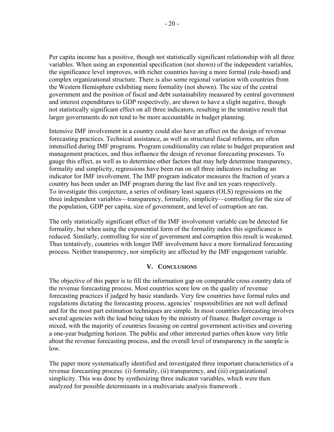Per capita income has a positive, though not statistically significant relationship with all three variables. When using an exponential specification (not shown) of the independent variables, the significance level improves, with richer countries having a more formal (rule-based) and complex organizational structure. There is also some regional variation with countries from the Western Hemisphere exhibiting more formality (not shown). The size of the central government and the position of fiscal and debt sustainability measured by central government and interest expenditures to GDP respectively, are shown to have a slight negative, though not statistically significant effect on all three indicators, resulting in the tentative result that larger governments do not tend to be more accountable in budget planning.

Intensive IMF involvement in a country could also have an effect on the design of revenue forecasting practices. Technical assistance, as well as structural fiscal reforms, are often intensified during IMF programs. Program conditionality can relate to budget preparation and management practices, and thus influence the design of revenue forecasting processes. To gauge this effect, as well as to determine other factors that may help determine transparency, formality and simplicity, regressions have been run on all three indicators including an indicator for IMF involvement. The IMF program indicator measures the fraction of years a country has been under an IMF program during the last five and ten years respectively. To investigate this conjecture, a series of ordinary least squares (OLS) regressions on the three independent variables—transparency, formality, simplicity—controlling for the size of the population, GDP per capita, size of government, and level of corruption are ran.

The only statistically significant effect of the IMF involvement variable can be detected for formality, but when using the exponential form of the formality index this significance is reduced. Similarly, controlling for size of government and corruption this result is weakened. Thus tentatively, countries with longer IMF involvement have a more formalized forecasting process. Neither transparency, nor simplicity are affected by the IMF engagement variable.

#### **V. CONCLUSIONS**

The objective of this paper is to fill the information gap on comparable cross country data of the revenue forecasting process. Most countries score low on the quality of revenue forecasting practices if judged by basic standards. Very few countries have formal rules and regulations dictating the forecasting process, agencies' responsibilities are not well defined and for the most part estimation techniques are simple. In most countries forecasting involves several agencies with the lead being taken by the ministry of finance. Budget coverage is mixed, with the majority of countries focusing on central government activities and covering a one-year budgeting horizon. The public and other interested parties often know very little about the revenue forecasting process, and the overall level of transparency in the sample is low.

The paper more systematically identified and investigated three important characteristics of a revenue forecasting process: (i) formality, (ii) transparency, and (iii) organizational simplicity. This was done by synthesizing three indicator variables, which were then analyzed for possible determinants in a multivariate analysis framework .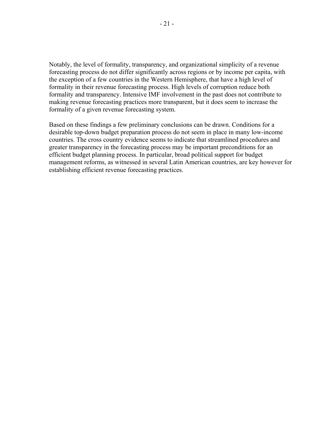Notably, the level of formality, transparency, and organizational simplicity of a revenue forecasting process do not differ significantly across regions or by income per capita, with the exception of a few countries in the Western Hemisphere, that have a high level of formality in their revenue forecasting process. High levels of corruption reduce both formality and transparency. Intensive IMF involvement in the past does not contribute to making revenue forecasting practices more transparent, but it does seem to increase the formality of a given revenue forecasting system.

Based on these findings a few preliminary conclusions can be drawn. Conditions for a desirable top-down budget preparation process do not seem in place in many low-income countries. The cross country evidence seems to indicate that streamlined procedures and greater transparency in the forecasting process may be important preconditions for an efficient budget planning process. In particular, broad political support for budget management reforms, as witnessed in several Latin American countries, are key however for establishing efficient revenue forecasting practices.